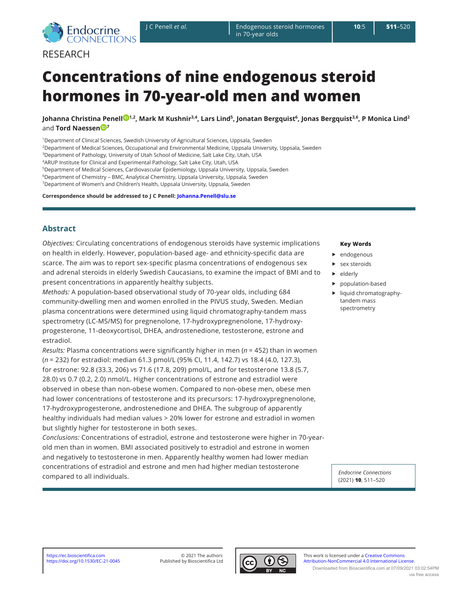

# **Concentrations of nine endogenous steroid hormones in 70-year-old men and women**

**Johanna Christina Penel[l](http://orcid.org/0000-0003-2083-4048) 1,2, Mark M Kushnir3,4, Lars Lind<sup>5</sup>, Jonatan Bergquist<sup>6</sup>, Jonas Bergquist3,6, P Monica Lind<sup>2</sup>** a[n](http://orcid.org/0000-0002-1485-5099)d **Tord Naessen**<sup>D</sup><sup>7</sup>

1Department of Clinical Sciences, Swedish University of Agricultural Sciences, Uppsala, Sweden

2Department of Medical Sciences, Occupational and Environmental Medicine, Uppsala University, Uppsala, Sweden

3Department of Pathology, University of Utah School of Medicine, Salt Lake City, Utah, USA

4ARUP Institute for Clinical and Experimental Pathology, Salt Lake City, Utah, USA

5Department of Medical Sciences, Cardiovascular Epidemiology, Uppsala University, Uppsala, Sweden

6Department of Chemistry – BMC, Analytical Chemistry, Uppsala University, Uppsala, Sweden

7Department of Women's and Children's Health, Uppsala University, Uppsala, Sweden

**Correspondence should be addressed to J C Penell: [Johanna.Penell@slu.se](mailto:Johanna.Penell@slu.se)**

# **Abstract**

*Objectives:* Circulating concentrations of endogenous steroids have systemic implications on health in elderly. However, population-based age- and ethnicity-specific data are scarce. The aim was to report sex-specific plasma concentrations of endogenous sex and adrenal steroids in elderly Swedish Caucasians, to examine the impact of BMI and to present concentrations in apparently healthy subjects.

*Methods:* A population-based observational study of 70-year olds, including 684 community-dwelling men and women enrolled in the PIVUS study, Sweden. Median plasma concentrations were determined using liquid chromatography-tandem mass spectrometry (LC-MS/MS) for pregnenolone, 17-hydroxypregnenolone, 17-hydroxyprogesterone, 11-deoxycortisol, DHEA, androstenedione, testosterone, estrone and estradiol.

*Results:* Plasma concentrations were significantly higher in men (*n* = 452) than in women (*n* = 232) for estradiol: median 61.3 pmol/L (95% CI, 11.4, 142.7) vs 18.4 (4.0, 127.3), for estrone: 92.8 (33.3, 206) vs 71.6 (17.8, 209) pmol/L, and for testosterone 13.8 (5.7, 28.0) vs 0.7 (0.2, 2.0) nmol/L. Higher concentrations of estrone and estradiol were observed in obese than non-obese women. Compared to non-obese men, obese men had lower concentrations of testosterone and its precursors: 17-hydroxypregnenolone, 17-hydroxyprogesterone, androstenedione and DHEA. The subgroup of apparently healthy individuals had median values > 20% lower for estrone and estradiol in women but slightly higher for testosterone in both sexes.

*Conclusions:* Concentrations of estradiol, estrone and testosterone were higher in 70-yearold men than in women. BMI associated positively to estradiol and estrone in women and negatively to testosterone in men. Apparently healthy women had lower median concentrations of estradiol and estrone and men had higher median testosterone compared to all individuals.

#### **Key Words**

- $\blacktriangleright$  endogenous
- $\blacktriangleright$  sex steroids
- $\blacktriangleright$  elderly
- population-based
- $\blacktriangleright$  liquid chromatographytandem mass spectrometry

*Endocrine Connections* (2021) **10**, 511–520

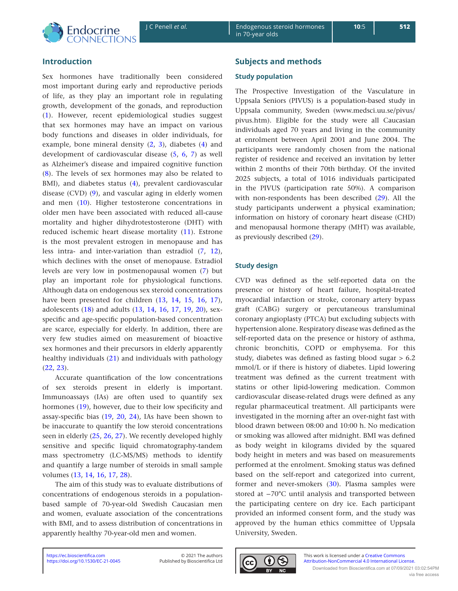

**10**:5

# **Introduction**

Sex hormones have traditionally been considered most important during early and reproductive periods of life, as they play an important role in regulating growth, development of the gonads, and reproduction ([1](#page-8-0)). However, recent epidemiological studies suggest that sex hormones may have an impact on various body functions and diseases in older individuals, for example, bone mineral density [\(2](#page-8-1), [3](#page-8-2)), diabetes ([4](#page-8-3)) and development of cardiovascular disease [\(5](#page-8-4), [6](#page-8-5), [7](#page-8-6)) as well as Alzheimer's disease and impaired cognitive function ([8](#page-8-7)). The levels of sex hormones may also be related to BMI), and diabetes status ([4\)](#page-8-3), prevalent cardiovascular disease (CVD) [\(9](#page-8-8)), and vascular aging in elderly women and men [\(10\)](#page-8-9). Higher testosterone concentrations in older men have been associated with reduced all-cause mortality and higher dihydrotestosterone (DHT) with reduced ischemic heart disease mortality ([11](#page-8-10)). Estrone is the most prevalent estrogen in menopause and has less intra- and inter-variation than estradiol ([7,](#page-8-6) [12\)](#page-8-11), which declines with the onset of menopause. Estradiol levels are very low in postmenopausal women ([7\)](#page-8-6) but play an important role for physiological functions. Although data on endogenous sex steroid concentrations have been presented for children [\(13,](#page-8-12) [14](#page-8-13), [15,](#page-8-14) [16](#page-8-15), [17\)](#page-8-16), adolescents ([18](#page-8-17)) and adults [\(13,](#page-8-12) [14,](#page-8-13) [16](#page-8-15), [17,](#page-8-16) [19,](#page-8-18) [20](#page-9-0)), sexspecific and age-specific population-based concentration are scarce, especially for elderly. In addition, there are very few studies aimed on measurement of bioactive sex hormones and their precursors in elderly apparently healthy individuals ([21](#page-9-1)) and individuals with pathology ([22](#page-9-2), [23](#page-9-3)).

Accurate quantification of the low concentrations of sex steroids present in elderly is important. Immunoassays (IAs) are often used to quantify sex hormones ([19\)](#page-8-18), however, due to their low specificity and assay-specific bias [\(19,](#page-8-18) [20](#page-9-0), [24](#page-9-4)), IAs have been shown to be inaccurate to quantify the low steroid concentrations seen in elderly [\(25,](#page-9-5) [26,](#page-9-6) [27](#page-9-7)). We recently developed highly sensitive and specific liquid chromatography-tandem mass spectrometry (LC-MS/MS) methods to identify and quantify a large number of steroids in small sample volumes ([13](#page-8-12), [14,](#page-8-13) [16,](#page-8-15) [17](#page-8-16), [28\)](#page-9-8).

The aim of this study was to evaluate distributions of concentrations of endogenous steroids in a populationbased sample of 70-year-old Swedish Caucasian men and women, evaluate association of the concentrations with BMI, and to assess distribution of concentrations in apparently healthy 70-year-old men and women.

## **Subjects and methods**

## **Study population**

The Prospective Investigation of the Vasculature in Uppsala Seniors (PIVUS) is a population-based study in Uppsala community, Sweden (www.medsci.uu.se/pivus/ pivus.htm). Eligible for the study were all Caucasian individuals aged 70 years and living in the community at enrolment between April 2001 and June 2004. The participants were randomly chosen from the national register of residence and received an invitation by letter within 2 months of their 70th birthday. Of the invited 2025 subjects, a total of 1016 individuals participated in the PIVUS (participation rate 50%). A comparison with non-respondents has been described ([29](#page-9-9)). All the study participants underwent a physical examination; information on history of coronary heart disease (CHD) and menopausal hormone therapy (MHT) was available, as previously described ([29](#page-9-9)).

## **Study design**

CVD was defined as the self-reported data on the presence or history of heart failure, hospital-treated myocardial infarction or stroke, coronary artery bypass graft (CABG) surgery or percutaneous transluminal coronary angioplasty (PTCA) but excluding subjects with hypertension alone. Respiratory disease was defined as the self-reported data on the presence or history of asthma, chronic bronchitis, COPD or emphysema. For this study, diabetes was defined as fasting blood sugar > 6.2 mmol/L or if there is history of diabetes. Lipid lowering treatment was defined as the current treatment with statins or other lipid-lowering medication. Common cardiovascular disease-related drugs were defined as any regular pharmaceutical treatment. All participants were investigated in the morning after an over-night fast with blood drawn between 08:00 and 10:00 h. No medication or smoking was allowed after midnight. BMI was defined as body weight in kilograms divided by the squared body height in meters and was based on measurements performed at the enrolment. Smoking status was defined based on the self-report and categorized into current, former and never-smokers ([30](#page-9-10)). Plasma samples were stored at −70°C until analysis and transported between the participating centere on dry ice. Each participant provided an informed consent form, and the study was approved by the human ethics committee of Uppsala University, Sweden.



This work is licensed under a [Creative Commons](https://creativecommons.org/licenses/by-nc/4.0/)  <https://doi.org/10.1530/EC-21-0045> Published by Bioscientifica Ltd **[Attribution-NonCommercial 4.0 International License.](https://creativecommons.org/licenses/by-nc/4.0/)** Downloaded from Bioscientifica.com at 07/09/2021 03:02:54PM via free access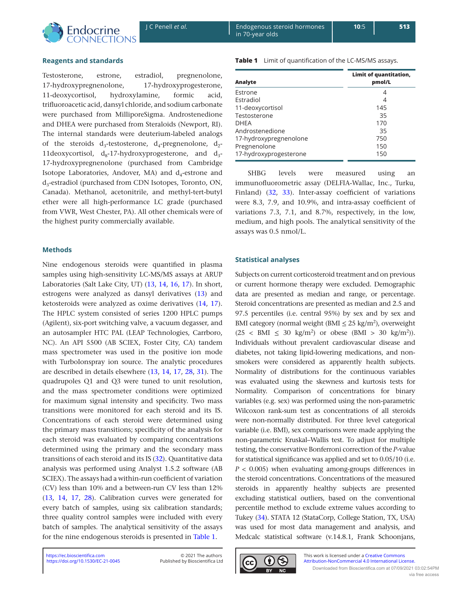

## **Reagents and standards**

Testosterone, estrone, estradiol, pregnenolone, 17-hydroxypregnenolone, 17-hydroxyprogesterone, 11-deoxycortisol, hydroxylamine, formic acid, trifluoroacetic acid, dansyl chloride, and sodium carbonate were purchased from MilliporeSigma. Androstenedione and DHEA were purchased from Steraloids (Newport, RI). The internal standards were deuterium-labeled analogs of the steroids  $d_3$ -testosterone,  $d_4$ -pregnenolone,  $d_2$ -11deoxycortisol,  $d_8$ -17-hydroxyprogesterone, and  $d_3$ -17-hydroxypregnenolone (purchased from Cambridge Isotope Laboratories, Andover, MA) and  $d_4$ -estrone and d<sub>3</sub>-estradiol (purchased from CDN Isotopes, Toronto, ON, Canada). Methanol, acetonitrile, and methyl-tert-butyl ether were all high-performance LC grade (purchased from VWR, West Chester, PA). All other chemicals were of the highest purity commercially available.

#### **Methods**

Nine endogenous steroids were quantified in plasma samples using high-sensitivity LC-MS/MS assays at ARUP Laboratories (Salt Lake City, UT) ([13,](#page-8-12) [14](#page-8-13), [16,](#page-8-15) [17](#page-8-16)). In short, estrogens were analyzed as dansyl derivatives ([13\)](#page-8-12) and ketosteroids were analyzed as oxime derivatives [\(14,](#page-8-13) [17\)](#page-8-16). The HPLC system consisted of series 1200 HPLC pumps (Agilent), six-port switching valve, a vacuum degasser, and an autosampler HTC PAL (LEAP Technologies, Carrboro, NC). An API 5500 (AB SCIEX, Foster City, CA) tandem mass spectrometer was used in the positive ion mode with TurboIonspray ion source. The analytic procedures are described in details elsewhere ([13](#page-8-12), [14,](#page-8-13) [17](#page-8-16), [28,](#page-9-8) [31](#page-9-11)). The quadrupoles Q1 and Q3 were tuned to unit resolution, and the mass spectrometer conditions were optimized for maximum signal intensity and specificity. Two mass transitions were monitored for each steroid and its IS. Concentrations of each steroid were determined using the primary mass transitions; specificity of the analysis for each steroid was evaluated by comparing concentrations determined using the primary and the secondary mass transitions of each steroid and its IS [\(32\)](#page-9-12). Quantitative data analysis was performed using Analyst 1.5.2 software (AB SCIEX). The assays had a within-run coefficient of variation (CV) less than 10% and a between-run CV less than 12% ([13](#page-8-12), [14,](#page-8-13) [17](#page-8-16), [28\)](#page-9-8). Calibration curves were generated for every batch of samples, using six calibration standards; three quality control samples were included with every batch of samples. The analytical sensitivity of the assays for the nine endogenous steroids is presented in Table 1.

**Table 1** Limit of quantification of the LC-MS/MS assays.

| Analyte                | Limit of quantitation,<br>pmol/L |
|------------------------|----------------------------------|
| Estrone                | 4                                |
| Estradiol              | 4                                |
| 11-deoxycortisol       | 145                              |
| Testosterone           | 35                               |
| <b>DHEA</b>            | 170                              |
| Androstenedione        | 35                               |
| 17-hydroxypregnenolone | 750                              |
| Pregnenolone           | 150                              |
| 17-hydroxyprogesterone | 150                              |

SHBG levels were measured using an immunofluorometric assay (DELFIA-Wallac, Inc., Turku, Finland) ([32](#page-9-12), [33](#page-9-13)). Inter-assay coefficient of variations were 8.3, 7.9, and 10.9%, and intra-assay coefficient of variations 7.3, 7.1, and 8.7%, respectively, in the low, medium, and high pools. The analytical sensitivity of the assays was 0.5 nmol/L.

## **Statistical analyses**

Subjects on current corticosteroid treatment and on previous or current hormone therapy were excluded. Demographic data are presented as median and range, or percentage. Steroid concentrations are presented as median and 2.5 and 97.5 percentiles (i.e. central 95%) by sex and by sex and BMI category (normal weight (BMI  $\leq$  25 kg/m<sup>2</sup>), overweight  $(25 < BMI \leq 30 \text{ kg/m}^2)$  or obese  $(BMI > 30 \text{ kg/m}^2)$ . Individuals without prevalent cardiovascular disease and diabetes, not taking lipid-lowering medications, and nonsmokers were considered as apparently health subjects. Normality of distributions for the continuous variables was evaluated using the skewness and kurtosis tests for Normality. Comparison of concentrations for binary variables (e.g. sex) was performed using the non-parametric Wilcoxon rank-sum test as concentrations of all steroids were non-normally distributed. For three level categorical variable (i.e. BMI), sex comparisons were made applying the non-parametric Kruskal–Wallis test. To adjust for multiple testing, the conservative Bonferroni correction of the *P*-value for statistical significance was applied and set to 0.05/10 (i.e. *P* < 0.005) when evaluating among-groups differences in the steroid concentrations. Concentrations of the measured steroids in apparently healthy subjects are presented excluding statistical outliers, based on the conventional percentile method to exclude extreme values according to Tukey [\(34](#page-9-14)). STATA 12 (StataCorp, College Station, TX, USA) was used for most data management and analysis, and Medcalc statistical software (v.14.8.1, Frank Schoonjans,

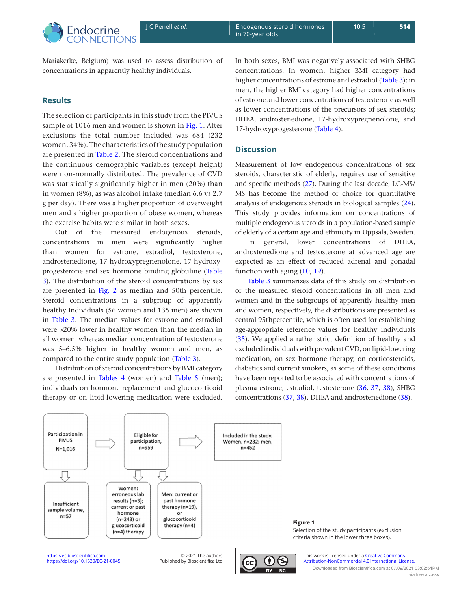

**10**:5

Mariakerke, Belgium) was used to assess distribution of concentrations in apparently healthy individuals.

# **Results**

The selection of participants in this study from the PIVUS sample of 1016 men and women is shown in Fig. 1. After exclusions the total number included was 684 (232 women, 34%). The characteristics of the study population are presented in [Table 2](#page-4-0). The steroid concentrations and the continuous demographic variables (except height) were non-normally distributed. The prevalence of CVD was statistically significantly higher in men (20%) than in women (8%), as was alcohol intake (median 6.6 vs 2.7 g per day). There was a higher proportion of overweight men and a higher proportion of obese women, whereas the exercise habits were similar in both sexes.

Out of the measured endogenous steroids, concentrations in men were significantly higher than women for estrone, estradiol, testosterone, androstenedione, 17-hydroxypregnenolone, 17-hydroxyprogesterone and sex hormone binding globuline ([Table](#page-5-0)  [3\)](#page-5-0). The distribution of the steroid concentrations by sex are presented in [Fig. 2](#page-6-0) [a](#page-6-0)s median and 50th percentile. Steroid concentrations in a subgroup of apparently healthy individuals (56 women and 135 men) are shown in [Table 3](#page-5-0). The median values for estrone and estradiol were >20% lower in healthy women than the median in all women, whereas median concentration of testosterone was 5–6.5% higher in healthy women and men, as compared to the entire study population [\(Table 3\)](#page-5-0).

Distribution of steroid concentrations by BMI category are presented in [Tables 4](#page-7-0) (women) and [Table 5](#page-7-0) (men); individuals on hormone replacement and glucocorticoid therapy or on lipid-lowering medication were excluded. In both sexes, BMI was negatively associated with SHBG concentrations. In women, higher BMI category had higher concentrations of estrone and estradiol [\(Table 3](#page-5-0)); in men, the higher BMI category had higher concentrations of estrone and lower concentrations of testosterone as well as lower concentrations of the precursors of sex steroids; DHEA, androstenedione, 17-hydroxypregnenolone, and 17-hydroxyprogesterone [\(Table 4\)](#page-7-0).

# **Discussion**

Measurement of low endogenous concentrations of sex steroids, characteristic of elderly, requires use of sensitive and specific methods ([27\)](#page-9-7). During the last decade, LC-MS/ MS has become the method of choice for quantitative analysis of endogenous steroids in biological samples ([24\)](#page-9-4). This study provides information on concentrations of multiple endogenous steroids in a population-based sample of elderly of a certain age and ethnicity in Uppsala, Sweden.

In general, lower concentrations of DHEA, androstenedione and testosterone at advanced age are expected as an effect of reduced adrenal and gonadal function with aging ([10](#page-8-9), [19\)](#page-8-18).

[Table 3](#page-5-0) summarizes data of this study on distribution of the measured steroid concentrations in all men and women and in the subgroups of apparently healthy men and women, respectively, the distributions are presented as central 95thpercentile, which is often used for establishing age-appropriate reference values for healthy individuals ([35\)](#page-9-15). We applied a rather strict definition of healthy and excluded individuals with prevalent CVD, on lipid-lowering medication, on sex hormone therapy, on corticosteroids, diabetics and current smokers, as some of these conditions have been reported to be associated with concentrations of plasma estrone, estradiol, testosterone [\(36](#page-9-16), [37](#page-9-17), [38](#page-9-18)), SHBG concentrations ([37,](#page-9-17) [38](#page-9-18)), DHEA and androstenedione ([38\)](#page-9-18).



<https://ec.bioscientifica.com> **blue COM COM COM COM COM COM COM COM COM COM COM COM COM COM COM COM COM COM COM COM COM COM COM COM COM COM COM COM COM COM COM**

Published by Bioscientifica Ltd



**Figure 1**

This work is licensed under a Creative Commons <https://doi.org/10.1530/EC-21-0045> Published by Bioscientifica Ltd  $\|\alpha\|$ Downloaded from Bioscientifica.com at 07/09/2021 03:02:54PM

Selection of the study participants (exclusion criteria shown in the lower three boxes).

via free access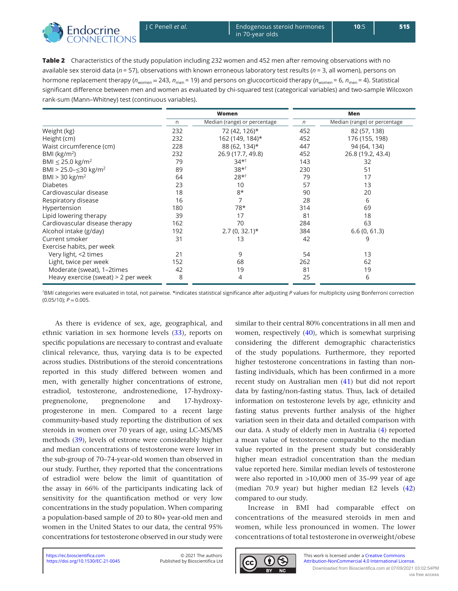<span id="page-4-0"></span>

**10**:5 **515**

**Table 2** Characteristics of the study population including 232 women and 452 men after removing observations with no available sex steroid data (*n* = 57), observations with known erroneous laboratory test results (*n* = 3, all women), persons on hormone replacement therapy ( $n_{\text{women}} = 243$ ,  $n_{\text{men}} = 19$ ) and persons on glucocorticoid therapy ( $n_{\text{women}} = 6$ ,  $n_{\text{men}} = 4$ ). Statistical significant difference between men and women as evaluated by chi-squared test (categorical variables) and two-sample Wilcoxon rank-sum (Mann–Whitney) test (continuous variables).

|                                         | Women |                              |     | Men                          |
|-----------------------------------------|-------|------------------------------|-----|------------------------------|
|                                         | n     | Median (range) or percentage | n   | Median (range) or percentage |
| Weight (kg)                             | 232   | 72 (42, 126)*                | 452 | 82 (57, 138)                 |
| Height (cm)                             | 232   | 162 (149, 184)*              | 452 | 176 (155, 198)               |
| Waist circumference (cm)                | 228   | 88 (62, 134)*                | 447 | 94 (64, 134)                 |
| BMI ( $\text{kg/m}^2$ )                 | 232   | 26.9 (17.7, 49.8)            | 452 | 26.8 (19.2, 43.4)            |
| BMI $\leq$ 25.0 kg/m <sup>2</sup>       | 79    | $34*^{\dagger}$              | 143 | 32                           |
| BMI > 25.0- $\leq$ 30 kg/m <sup>2</sup> | 89    | $38*^{\dagger}$              | 230 | 51                           |
| BMI > 30 kg/m <sup>2</sup>              | 64    | $28*^{\dagger}$              | 79  | 17                           |
| <b>Diabetes</b>                         | 23    | 10                           | 57  | 13                           |
| Cardiovascular disease                  | 18    | $8*$                         | 90  | 20                           |
| Respiratory disease                     | 16    |                              | 28  | 6                            |
| Hypertension                            | 180   | 78*                          | 314 | 69                           |
| Lipid lowering therapy                  | 39    | 17                           | 81  | 18                           |
| Cardiovascular disease therapy          | 162   | 70                           | 284 | 63                           |
| Alcohol intake (g/day)                  | 192   | $2.7(0, 32.1)*$              | 384 | 6.6(0, 61.3)                 |
| Current smoker                          | 31    | 13                           | 42  | 9                            |
| Exercise habits, per week               |       |                              |     |                              |
| Very light, <2 times                    | 21    | 9                            | 54  | 13                           |
| Light, twice per week                   | 152   | 68                           | 262 | 62                           |
| Moderate (sweat), 1-2times              | 42    | 19                           | 81  | 19                           |
| Heavy exercise (sweat) $>$ 2 per week   | 8     | 4                            | 25  | 6                            |

† BMI categories were evaluated in total, not pairwise. \*indicates statistical significance after adjusting *P* values for multiplicity using Bonferroni correction  $(0.05/10)$ ;  $P = 0.005$ .

As there is evidence of sex, age, geographical, and ethnic variation in sex hormone levels ([33](#page-9-13)), reports on specific populations are necessary to contrast and evaluate clinical relevance, thus, varying data is to be expected across studies. Distributions of the steroid concentrations reported in this study differed between women and men, with generally higher concentrations of estrone, estradiol, testosterone, androstenedione, 17-hydroxypregnenolone, pregnenolone and 17-hydroxyprogesterone in men. Compared to a recent large community-based study reporting the distribution of sex steroids in women over 70 years of age, using LC-MS/MS methods ([39](#page-9-19)), levels of estrone were considerably higher and median concentrations of testosterone were lower in the sub-group of 70–74-year-old women than observed in our study. Further, they reported that the concentrations of estradiol were below the limit of quantitation of the assay in 66% of the participants indicating lack of sensitivity for the quantification method or very low concentrations in the study population. When comparing a population-based sample of 20 to 80+ year-old men and women in the United States to our data, the central 95% concentrations for testosterone observed in our study were

similar to their central 80% concentrations in all men and women, respectively [\(40](#page-9-20)), which is somewhat surprising considering the different demographic characteristics of the study populations. Furthermore, they reported higher testosterone concentrations in fasting than nonfasting individuals, which has been confirmed in a more recent study on Australian men ([41](#page-9-21)) but did not report data by fasting/non-fasting status. Thus, lack of detailed information on testosterone levels by age, ethnicity and fasting status prevents further analysis of the higher variation seen in their data and detailed comparison with our data. A study of elderly men in Australia ([4](#page-8-3)) reported a mean value of testosterone comparable to the median value reported in the present study but considerably higher mean estradiol concentration than the median value reported here. Similar median levels of testosterone were also reported in >10,000 men of 35–99 year of age (median 70.9 year) but higher median E2 levels [\(42](#page-9-22)) compared to our study.

Increase in BMI had comparable effect on concentrations of the measured steroids in men and women, while less pronounced in women. The lower concentrations of total testosterone in overweight/obese

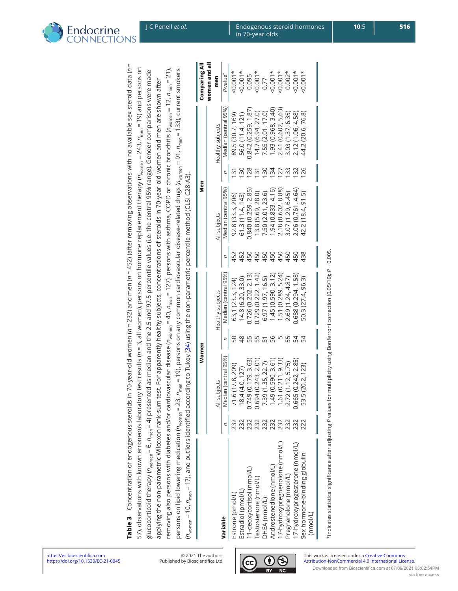| glucoorticoid therapy (n <sub>ten</sub> = 6, n <sub>nen</sub> = 6, n <sub>nen</sub> = 6, n <sub>nen</sub> = 6, n <sub>nen</sub> = 6, nd 9, is and the 2.5 and the 2.5 and 97.5 percentile values (i.e. the central 95% range). Gender comparisons were made                                        |     |                                         |               |                      |     |                      |                 |                      |                      |
|----------------------------------------------------------------------------------------------------------------------------------------------------------------------------------------------------------------------------------------------------------------------------------------------------|-----|-----------------------------------------|---------------|----------------------|-----|----------------------|-----------------|----------------------|----------------------|
| applying the non-parametric Wilcoxon rank-sum test. For apparently healthy subjects, concentrations of steroids in 70-year-old women and men are shown after                                                                                                                                       |     |                                         |               |                      |     |                      |                 |                      |                      |
| removing also persons with diabetes and/or cardiovascular disease (n <sub>women</sub> = 40, n <sub>men</sub> = 127), persons with asthma, COPD or chronic bronchitis (n <sub>women</sub> = 12, n <sub>men</sub> = 21),                                                                             |     |                                         |               |                      |     |                      |                 |                      |                      |
| persons on lipid lowering medication ( $n_{\text{women}}$ = 23, $n_{\text{mem}}$ = 23, $n_{\text{mem}}$ = 23, $n_{\text{mem}}$ = 23, $n_{\text{mem}}$ = 23, $n_{\text{mem}}$ = 23, $n_{\text{mem}}$ = 23, $n_{\text{mem}}$ = 23, $n_{\text{mem}}$ = 23, $\alpha$ any corrence carriers common card |     |                                         |               |                      |     |                      |                 |                      |                      |
| $(n_{\text{woman}} = 10, n_{\text{mean}} = 17)$ , and outliers identified according to Tukey (34) using the non-parametric percentile method (CLSI C28-A3).                                                                                                                                        |     |                                         |               |                      |     |                      |                 |                      |                      |
|                                                                                                                                                                                                                                                                                                    |     | Women                                   |               |                      |     | Men                  |                 |                      | Comparing All        |
|                                                                                                                                                                                                                                                                                                    |     |                                         |               |                      |     |                      |                 |                      | women and al         |
|                                                                                                                                                                                                                                                                                                    |     | All subjects                            |               | Healthy subjects     |     | All subjects         |                 | Healthy subjects     | men                  |
| Variable                                                                                                                                                                                                                                                                                           |     | Median (central 95%)                    |               | Median (central 95%) |     | Median (central 95%) |                 | Median (central 95%) | P-value <sup>*</sup> |
| Estrone (pmol/L)                                                                                                                                                                                                                                                                                   |     | 71.6 (17.8, 209)                        |               | 63,1 (23.3, 124)     | 452 | 92.8 (33.3, 206)     | S               | 89.5 (30.7, 169)     | $-0.001*$            |
| Estradiol (pmol/L)                                                                                                                                                                                                                                                                                 |     | 18.4 (4.0, 127)                         | $\frac{8}{2}$ | 14.8 (6.20, 33.0)    | 452 | 61.3(11.4, 143)      | 50              | 56.0 (11.4, 121)     | $-0.001*$            |
| I1-deoxycortisol (nmol/L)                                                                                                                                                                                                                                                                          |     | 0.749 (0.179, 3.63)                     |               | 0.726 (0.202, 2.13)  | 450 | 0.840 (0.259, 2.85)  | 128             | 0.842 (0.259, 1.87)  | 0.095                |
| [estosterone (nmol/L)                                                                                                                                                                                                                                                                              | 232 | 0.694 (0.243, 2.01)                     |               | 0.729 (0.222, 1.42)  | 450 | 13.8 (5.69, 28.0)    | 31              | 14.7 (6.94, 27.0)    | $40.001*$            |
| DHEA (nmol/L)                                                                                                                                                                                                                                                                                      | 232 | 7.39 (1.35, 22.7)<br>1.49 (0.590, 3.61) |               | 6.97(1.97, 16.5)     | 450 | 7.50 (2.01, 23.6)    | 90              | 7.55 (2.01, 17.0)    | 0.77                 |
| Androstenedione (nmol/L)                                                                                                                                                                                                                                                                           | 232 |                                         | 95            | 1.45(0.590, 3.12)    | 450 | 1.94(0.833, 4.16)    | 24              | 1.93 (0.968, 3.40)   | $40.001*$            |
| I7-hydroxypregnenolone (nmol/L)                                                                                                                                                                                                                                                                    | 232 | 1.61 (0.211, 9.33)                      |               | 1.51(0.289, 5.24)    | 450 | 2.18 (0.602, 8.88)   | 27              | 2.41 (0.602, 5.63)   | $50.001*$            |
| Pregnenolone (nmol/L)                                                                                                                                                                                                                                                                              | 232 | 2.72 (1.12, 5.75)                       | 55            | 2.69 (1.24, 4.87)    | 450 | 3.07 (1.29, 6.45)    | 33              | 3.03 (1.37, 6.35)    | $0.002*$             |
| 7-hydroxyprogesterone (nmol/L)                                                                                                                                                                                                                                                                     | 232 | 0.665 (0.242, 2.85)                     | 54            | 0.688 (0.294, 1.58)  | 450 | 2.06 (0.761, 4.64)   | $\overline{32}$ | 2.12 (1.06, 4.58)    | $50.001*$            |
| Sex hormone-binding globulin                                                                                                                                                                                                                                                                       | 222 | 53.5 (20.2, 123)                        | 54            | 50.3 (27.4, 96.3)    | 438 | 42.2 (18.4, 91.5)    | 126             | 44.2 (20.6, 76.8)    | $\times$ 0.001*      |

**Table 3** Concentration of endogenous steroids in 70-year-old women (*n* = 232) and men (*n* = 452) (after removing observations with no available sex steroid data (*n* =

<span id="page-5-0"></span>Table 3 Concentration of endogenous steroids in 70-year-old women (n = 232) and men (n = 452) (after removing observations with no available sex steroid data (n = 57), observations with known erroneous laboratory test results (n = 3, all women), persons on hormone replacement therapy (n<sub>women</sub> = 243, n<sub>men</sub> = 19) and persons on

 $= 243$ ,  $n_{\text{men}} = 19$ ) and persons on

57), observations with known erroneous laboratory test results (*n* = 3, all women), persons on hormone replacement therapy (*n*women

\*indicates statistical significance after adjusting P values for multiplicity using Bonferroni correction (0.05/10); P = 0.005. \*indicates statistical significance after adjusting *P* values for multiplicity using Bonferroni correction (0.05/10); *P* = 0.005.

(nmol/L)



**10**:5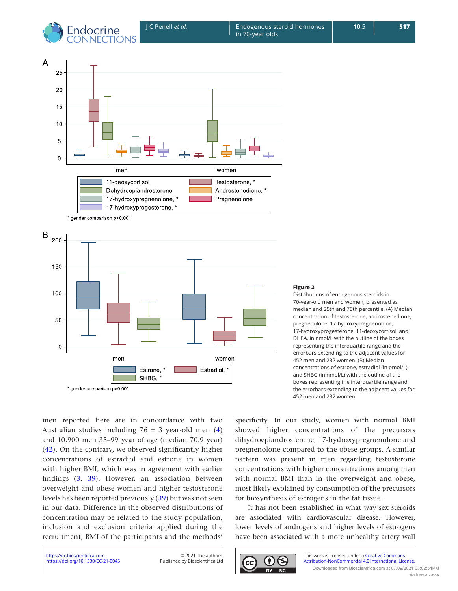<span id="page-6-0"></span>





#### **Figure 2**

Distributions of endogenous steroids in 70-year-old men and women, presented as median and 25th and 75th percentile. (A) Median concentration of testosterone, androstenedione, pregnenolone, 17-hydroxypregnenolone, 17-hydroxyprogesterone, 11-deoxycortisol, and DHEA, in nmol/L with the outline of the boxes representing the interquartile range and the errorbars extending to the adjacent values for 452 men and 232 women. (B) Median concentrations of estrone, estradiol (in pmol/L), and SHBG (in nmol/L) with the outline of the boxes representing the interquartile range and the errorbars extending to the adjacent values for 452 men and 232 women.

men reported here are in concordance with two Australian studies including  $76 \pm 3$  year-old men ([4](#page-8-3)) and 10,900 men 35–99 year of age (median 70.9 year) ([42\)](#page-9-22). On the contrary, we observed significantly higher concentrations of estradiol and estrone in women with higher BMI, which was in agreement with earlier findings [\(3,](#page-8-2) [39](#page-9-19)). However, an association between overweight and obese women and higher testosterone levels has been reported previously [\(39](#page-9-19)) but was not seen in our data. Difference in the observed distributions of concentration may be related to the study population, inclusion and exclusion criteria applied during the recruitment, BMI of the participants and the methods'

specificity. In our study, women with normal BMI showed higher concentrations of the precursors dihydroepiandrosterone, 17-hydroxypregnenolone and pregnenolone compared to the obese groups. A similar pattern was present in men regarding testosterone concentrations with higher concentrations among men with normal BMI than in the overweight and obese, most likely explained by consumption of the precursors for biosynthesis of estrogens in the fat tissue.

It has not been established in what way sex steroids are associated with cardiovascular disease. However, lower levels of androgens and higher levels of estrogens have been associated with a more unhealthy artery wall

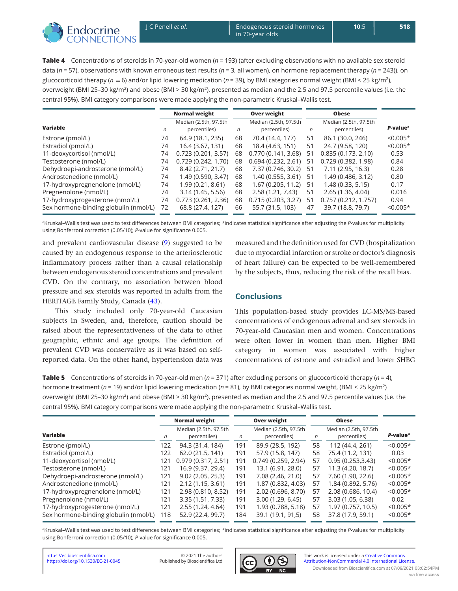<span id="page-7-0"></span>

**10**:5

**Table 4** Concentrations of steroids in 70-year-old women (*n* = 193) (after excluding observations with no available sex steroid data (*n* = 57), observations with known erroneous test results (*n* = 3, all women), on hormone replacement therapy (*n* = 243)), on glucocorticoid therapy (*n*  = 6) and/or lipid lowering medication (*n* = 39), by BMI categories normal weight (BMI < 25 kg/m2), overweight (BMI 25-30 kg/m<sup>2</sup>) and obese (BMI > 30 kg/m<sup>2</sup>), presented as median and the 2.5 and 97.5 percentile values (i.e. the central 95%). BMI category comparisons were made applying the non-parametric Kruskal–Wallis test.

|                                       | <b>Normal weight</b> |                                       | Over weight |                                       | <b>Obese</b> |                                       |                      |
|---------------------------------------|----------------------|---------------------------------------|-------------|---------------------------------------|--------------|---------------------------------------|----------------------|
| <b>Variable</b>                       | n                    | Median (2.5th, 97.5th<br>percentiles) | n           | Median (2.5th, 97.5th<br>percentiles) | $\sqrt{n}$   | Median (2.5th, 97.5th<br>percentiles) | P-value <sup>a</sup> |
| Estrone (pmol/L)                      | 74                   | 64.9 (18.1, 235)                      | 68          | 70.4 (14.4, 177)                      | 51           | 86.1 (30.0, 246)                      | $< 0.005*$           |
| Estradiol (pmol/L)                    | 74                   | 16.4 (3.67, 131)                      | 68          | 18.4 (4.63, 151)                      | 51           | 24.7 (9.58, 120)                      | $< 0.005*$           |
| 11-deoxycortisol (nmol/L)             | 74                   | 0.723(0.201, 3.57)                    | 68          | 0.770(0.141, 3.68)                    | 51           | 0.835(0.173, 2.10)                    | 0.53                 |
| Testosterone (nmol/L)                 | 74                   | 0.729(0.242, 1.70)                    | 68          | 0.694(0.232, 2.61)                    | 51           | 0.729(0.382, 1.98)                    | 0.84                 |
| Dehydroepi-androsterone (nmol/L)      | 74                   | 8.42 (2.71, 21.7)                     | 68          | 7.37 (0.746, 30.2)                    | -51          | 7.11 (2.95, 16.3)                     | 0.28                 |
| Androstenedione (nmol/L)              | 74                   | 1.49 (0.590, 3.47)                    | 68          | 1.40 (0.555, 3.61)                    | 51           | 1.49 (0.486, 3.12)                    | 0.80                 |
| 17-hydroxypregnenolone (nmol/L)       | 74                   | 1.99 (0.21, 8.61)                     | 68          | 1.67(0.205, 11.2)                     | 51           | $1,48$ (0.33, 5.15)                   | 0.17                 |
| Pregnenolone (nmol/L)                 | 74                   | 3.14 (1.45, 5.56)                     | 68          | 2.58 (1.21, 7.43)                     | 51           | 2.65 (1.36, 4.04)                     | 0.016                |
| 17-hydroxyprogesterone (nmol/L)       | 74                   | 0.773(0.261, 2.36)                    | 68          | 0.715(0.203, 3.27)                    | 51           | 0.757(0.212, 1.757)                   | 0.94                 |
| Sex hormone-binding globulin (nmol/L) | 72                   | 68.8 (27.4, 127)                      | 66          | 55.7 (31.5, 103)                      | 47           | 39.7 (18.8, 79.7)                     | $< 0.005*$           |

aKruskal-Wallis test was used to test differences between BMI categories; \*indicates statistical significance after adjusting the P-values for multiplicity using Bonferroni correction (0.05/10); *P*-value for significance 0.005.

and prevalent cardiovascular disease [\(9\)](#page-8-8) suggested to be caused by an endogenous response to the arteriosclerotic inflammatory process rather than a causal relationship between endogenous steroid concentrations and prevalent CVD. On the contrary, no association between blood pressure and sex steroids was reported in adults from the HERITAGE Family Study, Canada ([43](#page-9-23)).

This study included only 70-year-old Caucasian subjects in Sweden, and, therefore, caution should be raised about the representativeness of the data to other geographic, ethnic and age groups. The definition of prevalent CVD was conservative as it was based on selfreported data. On the other hand, hypertension data was

measured and the definition used for CVD (hospitalization due to myocardial infarction or stroke or doctor's diagnosis of heart failure) can be expected to be well-remembered by the subjects, thus, reducing the risk of the recall bias.

# **Conclusions**

This population-based study provides LC-MS/MS-based concentrations of endogenous adrenal and sex steroids in 70-year-old Caucasian men and women. Concentrations were often lower in women than men. Higher BMI category in women was associated with higher concentrations of estrone and estradiol and lower SHBG

**Table 5** Concentrations of steroids in 70-year-old men (*n* = 371) after excluding persons on glucocorticoid therapy (*n* = 4), hormone treatment (*n* = 19) and/or lipid lowering medication (*n* = 81), by BMI categories normal weight, (BMI < 25 kg/m2) overweight (BMI 25-30 kg/m<sup>2</sup>) and obese (BMI > 30 kg/m<sup>2</sup>), presented as median and the 2.5 and 97.5 percentile values (i.e. the central 95%). BMI category comparisons were made applying the non-parametric Kruskal–Wallis test.

|                                       |     | <b>Normal weight</b>                  | Over weight |                                       |    | <b>Obese</b>                          |                      |
|---------------------------------------|-----|---------------------------------------|-------------|---------------------------------------|----|---------------------------------------|----------------------|
| Variable                              | n   | Median (2.5th, 97.5th<br>percentiles) | n           | Median (2.5th, 97.5th<br>percentiles) | n  | Median (2.5th, 97.5th<br>percentiles) | P-value <sup>a</sup> |
| Estrone (pmol/L)                      | 122 | 94.3 (31.4, 184)                      | 191         | 89.9 (28.5, 192)                      | 58 | 112 (44.4, 261)                       | $< 0.005*$           |
| Estradiol (pmol/L)                    | 122 | 62.0 (21.5, 141)                      | 191         | 57.9 (15.8, 147)                      | 58 | 75.4 (11.2, 131)                      | 0.03                 |
| 11-deoxycortisol (nmol/L)             | 121 | 0.979(0.317, 2.51)                    | 191         | 0.749(0.259, 2.94)                    | 57 | 0.95(0.253,3.43)                      | $< 0.005*$           |
| Testosterone (nmol/L)                 | 121 | 16.9 (9.37, 29.4)                     | 191         | 13.1 (6.91, 28.0)                     | 57 | 11.3 (4.20, 18.7)                     | $< 0.005*$           |
| Dehydroepi-androsterone (nmol/L)      | 121 | 9.02(2.05, 25.3)                      | 191         | 7.08 (2.46, 21.0)                     | 57 | 7.60 (1.90, 22.6)                     | $< 0.005*$           |
| Androstenedione (nmol/L)              | 121 | 2.12(1.15, 3.61)                      | 191         | 1.87 (0.832, 4.03)                    | 57 | 1.84 (0.892, 5.76)                    | $< 0.005*$           |
| 17-hydroxypregnenolone (nmol/L)       | 121 | 2.98 (0.810, 8.52)                    | 191         | 2.02 (0.696, 8.70)                    | 57 | 2.08 (0.686, 10.4)                    | $< 0.005*$           |
| Pregnenolone (nmol/L)                 | 121 | 3.35 (1.51, 7.33)                     | 191         | 3.00(1.29, 6.45)                      | 57 | 3.03 (1.05, 6.38)                     | 0.02                 |
| 17-hydroxyprogesterone (nmol/L)       | 121 | 2.55 (1.24, 4.64)                     | 191         | 1.93 (0.788, 5.18)                    | 57 | 1.97 (0.757, 10.5)                    | $< 0.005*$           |
| Sex hormone-binding globulin (nmol/L) | 118 | 52.9 (22.4, 99.7)                     | 184         | 39.1 (19.1, 91,5)                     | 58 | 37.8 (17.9, 59.1)                     | $< 0.005*$           |

aKruskal-Wallis test was used to test differences between BMI categories; \*indicates statistical significance after adjusting the *P*-values for multiplicity using Bonferroni correction (0.05/10); *P*-value for significance 0.005.



Published by Bioscientifica Ltd



This work is licensed under a [Creative Commons](https://creativecommons.org/licenses/by-nc/4.0/)  <https://doi.org/10.1530/EC-21-0045> Published by Bioscientifica Ltd **[Attribution-NonCommercial 4.0 International License.](https://creativecommons.org/licenses/by-nc/4.0/)** Downloaded from Bioscientifica.com at 07/09/2021 03:02:54PM via free access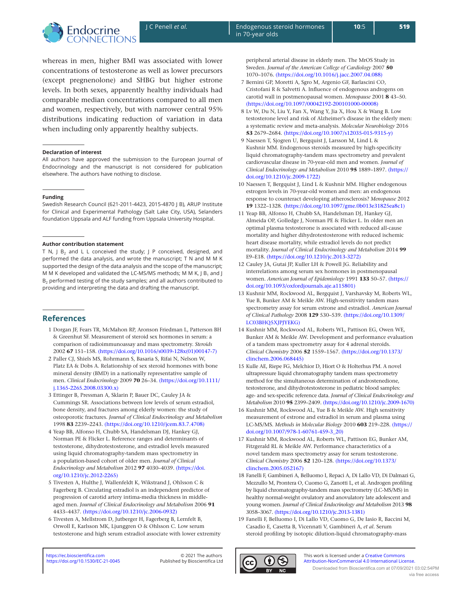

whereas in men, higher BMI was associated with lower concentrations of testosterone as well as lower precursors (except pregnenolone) and SHBG but higher estrone levels. In both sexes, apparently healthy individuals had comparable median concentrations compared to all men and women, respectively, but with narrower central 95% distributions indicating reduction of variation in data when including only apparently healthy subjects.

#### **Declaration of interest**

All authors have approved the submission to the European Journal of Endocrinology and the manuscript is not considered for publication elsewhere. The authors have nothing to disclose.

#### **Funding**

Swedish Research Council (621-2011-4423, 2015-4870 J B), ARUP Institute for Clinical and Experimental Pathology (Salt Lake City, USA), Selanders foundation Uppsala and ALF funding from Uppsala University Hospital.

#### **Author contribution statement**

T N, J B<sub>2</sub> and L L conceived the study; J P conceived, designed, and performed the data analysis, and wrote the manuscript; T N and M M K supported the design of the data analysis and the scope of the manuscript; M M K developed and validated the LC-MS/MS methods; M M K, J B<sub>1</sub> and J B<sub>2</sub> performed testing of the study samples; and all authors contributed to providing and interpreting the data and drafting the manuscript.

# **References**

- <span id="page-8-0"></span>1 Dorgan JF, Fears TR, McMahon RP, Aronson Friedman L, Patterson BH & Greenhut SF. Measurement of steroid sex hormones in serum: a comparison of radioimmunoassay and mass spectrometry. *Steroids* 2002 **67** 151–158. [\(https://doi.org/10.1016/s0039-128x\(01\)00147-7\)](https://doi.org/10.1016/s0039-128x(01)00147-7)
- <span id="page-8-1"></span>2 Paller CJ, Shiels MS, Rohrmann S, Basaria S, Rifai N, Nelson W, Platz EA & Dobs A. Relationship of sex steroid hormones with bone mineral density (BMD) in a nationally representative sample of men. *Clinical Endocrinology* 2009 **70** 26–34. [\(https://doi.org/10.1111/](https://doi.org/10.1111/j.1365-2265.2008.03300.x) [j.1365-2265.2008.03300.x\)](https://doi.org/10.1111/j.1365-2265.2008.03300.x)
- <span id="page-8-2"></span>3 Ettinger B, Pressman A, Sklarin P, Bauer DC, Cauley JA & Cummings SR. Associations between low levels of serum estradiol, bone density, and fractures among elderly women: the study of osteoporotic fractures. *Journal of Clinical Endocrinology and Metabolism* 1998 **83** 2239–2243. [\(https://doi.org/10.1210/jcem.83.7.4708\)](https://doi.org/10.1210/jcem.83.7.4708)
- <span id="page-8-3"></span>4 Yeap BB, Alfonso H, Chubb SA, Handelsman DJ, Hankey GJ, Norman PE & Flicker L. Reference ranges and determinants of testosterone, dihydrotestosterone, and estradiol levels measured using liquid chromatography-tandem mass spectrometry in a population-based cohort of older men. *Journal of Clinical Endocrinology and Metabolism* 2012 **97** 4030–4039. [\(https://doi.](https://doi.org/10.1210/jc.2012-2265) [org/10.1210/jc.2012-2265\)](https://doi.org/10.1210/jc.2012-2265)
- <span id="page-8-4"></span>5 Tivesten A, Hulthe J, Wallenfeldt K, Wikstrand J, Ohlsson C & Fagerberg B. Circulating estradiol is an independent predictor of progression of carotid artery intima-media thickness in middleaged men. *Journal of Clinical Endocrinology and Metabolism* 2006 **91** 4433–4437. [\(https://doi.org/10.1210/jc.2006-0932\)](https://doi.org/10.1210/jc.2006-0932)
- <span id="page-8-5"></span>6 Tivesten A, Mellstrom D, Jutberger H, Fagerberg B, Lernfelt B, Orwoll E, Karlsson MK, Ljunggren O & Ohlsson C. Low serum testosterone and high serum estradiol associate with lower extremity

peripheral arterial disease in elderly men. The MrOS Study in Sweden. *Journal of the American College of Cardiology* 2007 **50** 1070–1076. [\(https://doi.org/10.1016/j.jacc.2007.04.088\)](https://doi.org/10.1016/j.jacc.2007.04.088)

- <span id="page-8-6"></span>7 Bernini GP, Moretti A, Sgro M, Argenio GF, Barlascini CO, Cristofani R & Salvetti A. Influence of endogenous androgens on carotid wall in postmenopausal women. *Menopause* 2001 **8** 43–50. [\(https://doi.org/10.1097/00042192-200101000-00008\)](https://doi.org/10.1097/00042192-200101000-00008)
- <span id="page-8-7"></span>8 Lv W, Du N, Liu Y, Fan X, Wang Y, Jia X, Hou X & Wang B. Low testosterone level and risk of Alzheimer's disease in the elderly men: a systematic review and meta-analysis. *Molecular Neurobiology* 2016 **53** 2679–2684. [\(https://doi.org/10.1007/s12035-015-9315-y\)](https://doi.org/10.1007/s12035-015-9315-y)
- <span id="page-8-8"></span>9 Naessen T, Sjogren U, Bergquist J, Larsson M, Lind L & Kushnir MM. Endogenous steroids measured by high-specificity liquid chromatography-tandem mass spectrometry and prevalent cardiovascular disease in 70-year-old men and women. *Journal of Clinical Endocrinology and Metabolism* 2010 **95** 1889–1897. [\(https://](https://doi.org/10.1210/jc.2009-1722) [doi.org/10.1210/jc.2009-1722\)](https://doi.org/10.1210/jc.2009-1722)
- <span id="page-8-9"></span>10 Naessen T, Bergquist J, Lind L & Kushnir MM. Higher endogenous estrogen levels in 70-year-old women and men: an endogenous response to counteract developing atherosclerosis? *Menopause* 2012 **19** 1322–1328. [\(https://doi.org/10.1097/gme.0b013e31825ea8c1\)](https://doi.org/10.1097/gme.0b013e31825ea8c1)
- <span id="page-8-10"></span>11 Yeap BB, Alfonso H, Chubb SA, Handelsman DJ, Hankey GJ, Almeida OP, Golledge J, Norman PE & Flicker L. In older men an optimal plasma testosterone is associated with reduced all-cause mortality and higher dihydrotestosterone with reduced ischemic heart disease mortality, while estradiol levels do not predict mortality. *Journal of Clinical Endocrinology and Metabolism* 2014 **99** E9–E18. [\(https://doi.org/10.1210/jc.2013-3272\)](https://doi.org/10.1210/jc.2013-3272)
- <span id="page-8-11"></span>12 Cauley JA, Gutai JP, Kuller LH & Powell JG. Reliability and interrelations among serum sex hormones in postmenopausal women. *American Journal of Epidemiology* 1991 **133** 50–57. [\(https://](https://doi.org/10.1093/oxfordjournals.aje.a115801) [doi.org/10.1093/oxfordjournals.aje.a115801\)](https://doi.org/10.1093/oxfordjournals.aje.a115801)
- <span id="page-8-12"></span>13 Kushnir MM, Rockwood AL, Bergquist J, Varshavsky M, Roberts WL, Yue B, Bunker AM & Meikle AW. High-sensitivity tandem mass spectrometry assay for serum estrone and estradiol. *American Journal of Clinical Pathology* 2008 **129** 530–539. [\(https://doi.org/10.1309/](https://doi.org/10.1309/LC03BHQ5XJPJYEKG) [LC03BHQ5XJPJYEKG\)](https://doi.org/10.1309/LC03BHQ5XJPJYEKG)
- <span id="page-8-13"></span>14 Kushnir MM, Rockwood AL, Roberts WL, Pattison EG, Owen WE, Bunker AM & Meikle AW. Development and performance evaluation of a tandem mass spectrometry assay for 4 adrenal steroids. *Clinical Chemistry* 2006 **52** 1559–1567. [\(https://doi.org/10.1373/](https://doi.org/10.1373/clinchem.2006.068445) [clinchem.2006.068445\)](https://doi.org/10.1373/clinchem.2006.068445)
- <span id="page-8-14"></span>15 Kulle AE, Riepe FG, Melchior D, Hiort O & Holterhus PM. A novel ultrapressure liquid chromatography tandem mass spectrometry method for the simultaneous determination of androstenedione, testosterone, and dihydrotestosterone in pediatric blood samples: age- and sex-specific reference data. *Journal of Clinical Endocrinology and Metabolism* 2010 **95** 2399–2409. [\(https://doi.org/10.1210/jc.2009-1670\)](https://doi.org/10.1210/jc.2009-1670)
- <span id="page-8-15"></span>16 Kushnir MM, Rockwood AL, Yue B & Meikle AW. High sensitivity measurement of estrone and estradiol in serum and plasma using LC-MS/MS. *Methods in Molecular Biology* 2010 **603** 219–228. [\(https://](https://doi.org/10.1007/978-1-60761-459-3_20) [doi.org/10.1007/978-1-60761-459-3\\_20\)](https://doi.org/10.1007/978-1-60761-459-3_20)
- <span id="page-8-16"></span>17 Kushnir MM, Rockwood AL, Roberts WL, Pattison EG, Bunker AM, Fitzgerald RL & Meikle AW. Performance characteristics of a novel tandem mass spectrometry assay for serum testosterone. *Clinical Chemistry* 2006 **52** 120–128. [\(https://doi.org/10.1373/](https://doi.org/10.1373/clinchem.2005.052167) [clinchem.2005.052167\)](https://doi.org/10.1373/clinchem.2005.052167)
- <span id="page-8-17"></span>18 Fanelli F, Gambineri A, Belluomo I, Repaci A, Di Lallo VD, Di Dalmazi G, Mezzullo M, Prontera O, Cuomo G, Zanotti L, et al. Androgen profiling by liquid chromatography-tandem mass spectrometry (LC-MS/MS) in healthy normal-weight ovulatory and anovulatory late adolescent and young women. *Journal of Clinical Endocrinology and Metabolism* 2013 **98** 3058–3067. [\(https://doi.org/10.1210/jc.2013-1381\)](https://doi.org/10.1210/jc.2013-1381)
- <span id="page-8-18"></span>19 Fanelli F, Belluomo I, Di Lallo VD, Cuomo G, De Iasio R, Baccini M, Casadio E, Casetta B, Vicennati V, Gambineri A, *et al.* Serum steroid profiling by isotopic dilution-liquid chromatography-mass